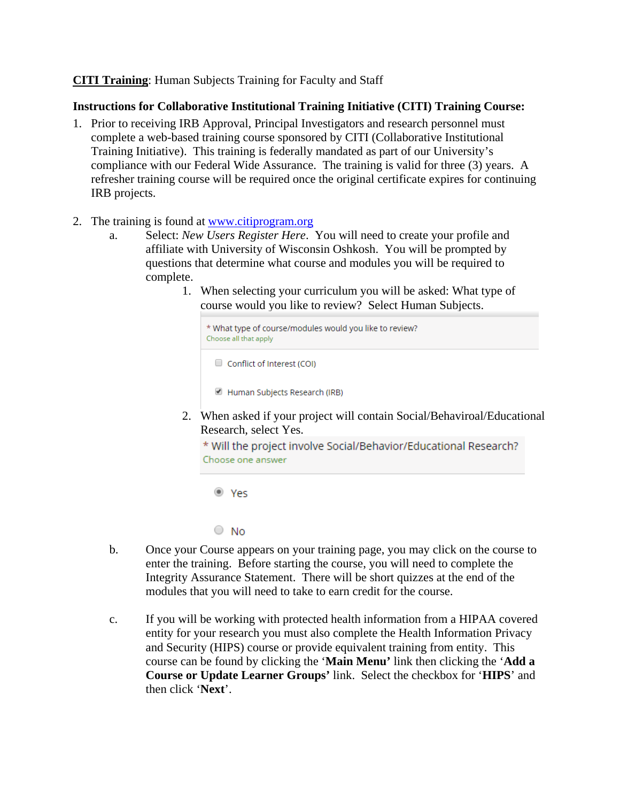## **CITI Training**: Human Subjects Training for Faculty and Staff

## **Instructions for Collaborative Institutional Training Initiative (CITI) Training Course:**

- 1. Prior to receiving IRB Approval, Principal Investigators and research personnel must complete a web-based training course sponsored by CITI (Collaborative Institutional Training Initiative). This training is federally mandated as part of our University's compliance with our Federal Wide Assurance. The training is valid for three (3) years. A refresher training course will be required once the original certificate expires for continuing IRB projects.
- 2. The training is found at [www.citiprogram.org](http://www.citiprogram.org/)
	- a. Select: *New Users Register Here*. You will need to create your profile and affiliate with University of Wisconsin Oshkosh. You will be prompted by questions that determine what course and modules you will be required to complete.
		- 1. When selecting your curriculum you will be asked: What type of course would you like to review? Select Human Subjects.

| * What type of course/modules would you like to review?<br>Choose all that apply |
|----------------------------------------------------------------------------------|
| $\Box$ Conflict of Interest (COI)                                                |

Human Subjects Research (IRB)

2. When asked if your project will contain Social/Behaviroal/Educational Research, select Yes.

\* Will the project involve Social/Behavior/Educational Research? Choose one answer

<sup>◎</sup> Yes

 $\circ$  No

- b. Once your Course appears on your training page, you may click on the course to enter the training. Before starting the course, you will need to complete the Integrity Assurance Statement. There will be short quizzes at the end of the modules that you will need to take to earn credit for the course.
- c. If you will be working with protected health information from a HIPAA covered entity for your research you must also complete the Health Information Privacy and Security (HIPS) course or provide equivalent training from entity. This course can be found by clicking the '**Main Menu'** link then clicking the '**Add a Course or Update Learner Groups'** link. Select the checkbox for '**HIPS**' and then click '**Next**'.